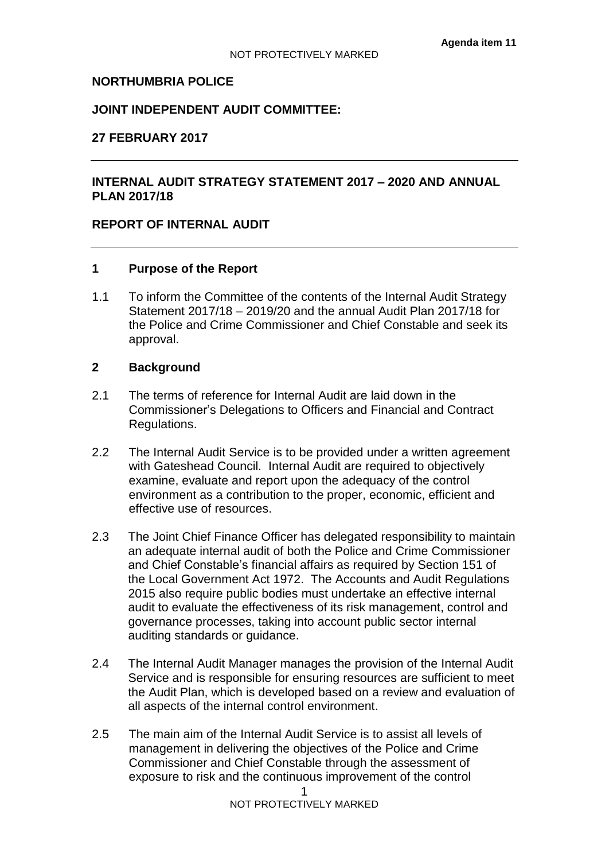## **NORTHUMBRIA POLICE**

## **JOINT INDEPENDENT AUDIT COMMITTEE:**

## **27 FEBRUARY 2017**

# **INTERNAL AUDIT STRATEGY STATEMENT 2017 – 2020 AND ANNUAL PLAN 2017/18**

# **REPORT OF INTERNAL AUDIT**

## **1 Purpose of the Report**

1.1 To inform the Committee of the contents of the Internal Audit Strategy Statement 2017/18 – 2019/20 and the annual Audit Plan 2017/18 for the Police and Crime Commissioner and Chief Constable and seek its approval.

## **2 Background**

- 2.1 The terms of reference for Internal Audit are laid down in the Commissioner's Delegations to Officers and Financial and Contract Regulations.
- 2.2 The Internal Audit Service is to be provided under a written agreement with Gateshead Council. Internal Audit are required to objectively examine, evaluate and report upon the adequacy of the control environment as a contribution to the proper, economic, efficient and effective use of resources.
- 2.3 The Joint Chief Finance Officer has delegated responsibility to maintain an adequate internal audit of both the Police and Crime Commissioner and Chief Constable's financial affairs as required by Section 151 of the Local Government Act 1972. The Accounts and Audit Regulations 2015 also require public bodies must undertake an effective internal audit to evaluate the effectiveness of its risk management, control and governance processes, taking into account public sector internal auditing standards or guidance.
- 2.4 The Internal Audit Manager manages the provision of the Internal Audit Service and is responsible for ensuring resources are sufficient to meet the Audit Plan, which is developed based on a review and evaluation of all aspects of the internal control environment.
- 2.5 The main aim of the Internal Audit Service is to assist all levels of management in delivering the objectives of the Police and Crime Commissioner and Chief Constable through the assessment of exposure to risk and the continuous improvement of the control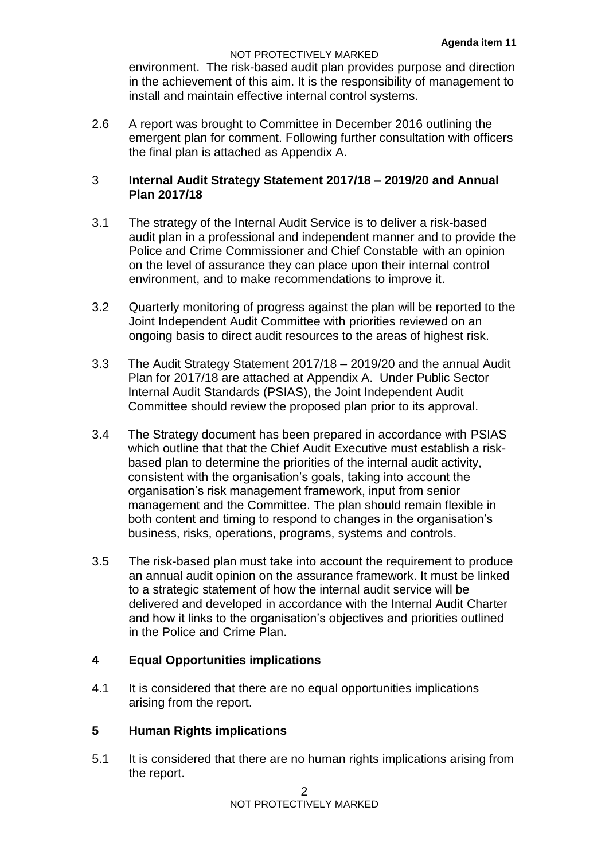#### NOT PROTECTIVELY MARKED

environment. The risk-based audit plan provides purpose and direction in the achievement of this aim. It is the responsibility of management to install and maintain effective internal control systems.

2.6 A report was brought to Committee in December 2016 outlining the emergent plan for comment. Following further consultation with officers the final plan is attached as Appendix A.

# 3 **Internal Audit Strategy Statement 2017/18 – 2019/20 and Annual Plan 2017/18**

- 3.1 The strategy of the Internal Audit Service is to deliver a risk-based audit plan in a professional and independent manner and to provide the Police and Crime Commissioner and Chief Constable with an opinion on the level of assurance they can place upon their internal control environment, and to make recommendations to improve it.
- 3.2 Quarterly monitoring of progress against the plan will be reported to the Joint Independent Audit Committee with priorities reviewed on an ongoing basis to direct audit resources to the areas of highest risk.
- 3.3 The Audit Strategy Statement 2017/18 2019/20 and the annual Audit Plan for 2017/18 are attached at Appendix A. Under Public Sector Internal Audit Standards (PSIAS), the Joint Independent Audit Committee should review the proposed plan prior to its approval.
- 3.4 The Strategy document has been prepared in accordance with PSIAS which outline that that the Chief Audit Executive must establish a riskbased plan to determine the priorities of the internal audit activity, consistent with the organisation's goals, taking into account the organisation's risk management framework, input from senior management and the Committee. The plan should remain flexible in both content and timing to respond to changes in the organisation's business, risks, operations, programs, systems and controls.
- 3.5 The risk-based plan must take into account the requirement to produce an annual audit opinion on the assurance framework. It must be linked to a strategic statement of how the internal audit service will be delivered and developed in accordance with the Internal Audit Charter and how it links to the organisation's objectives and priorities outlined in the Police and Crime Plan.

# **4 Equal Opportunities implications**

4.1 It is considered that there are no equal opportunities implications arising from the report.

# **5 Human Rights implications**

5.1 It is considered that there are no human rights implications arising from the report.